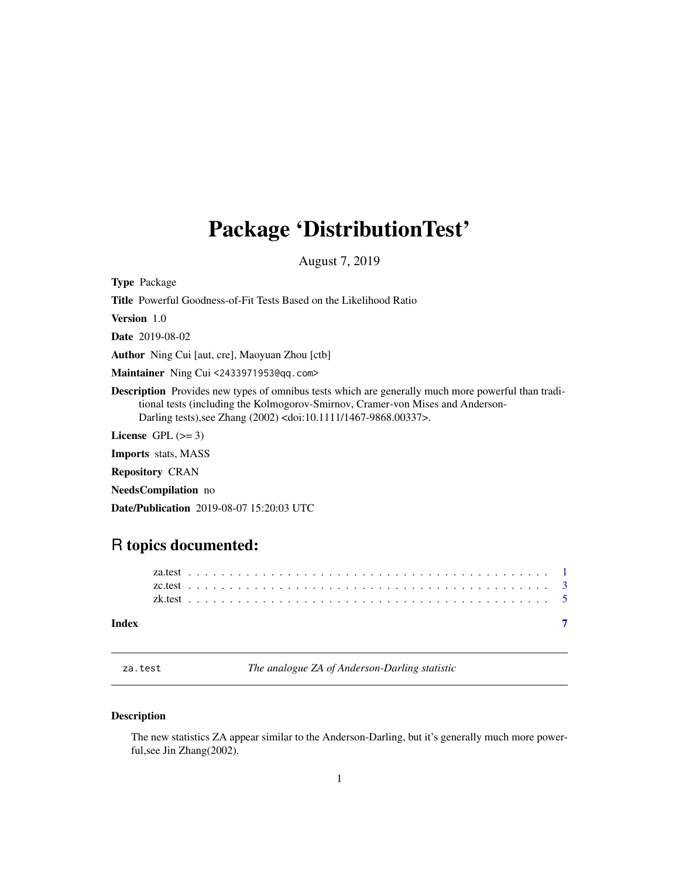# <span id="page-0-0"></span>Package 'DistributionTest'

August 7, 2019

<span id="page-0-1"></span>Type Package

Title Powerful Goodness-of-Fit Tests Based on the Likelihood Ratio

Version 1.0

Date 2019-08-02

Author Ning Cui [aut, cre], Maoyuan Zhou [ctb]

Maintainer Ning Cui <2433971953@qq.com>

Description Provides new types of omnibus tests which are generally much more powerful than traditional tests (including the Kolmogorov-Smirnov, Cramer-von Mises and Anderson-Darling tests),see Zhang (2002) <doi:10.1111/1467-9868.00337>.

License GPL  $(>= 3)$ 

Imports stats, MASS

Repository CRAN

NeedsCompilation no

Date/Publication 2019-08-07 15:20:03 UTC

# R topics documented:

#### **Index** [7](#page-6-0) **7**

<span id="page-0-2"></span>za.test *The analogue ZA of Anderson-Darling statistic*

#### Description

The new statistics ZA appear similar to the Anderson-Darling, but it's generally much more powerful,see Jin Zhang(2002).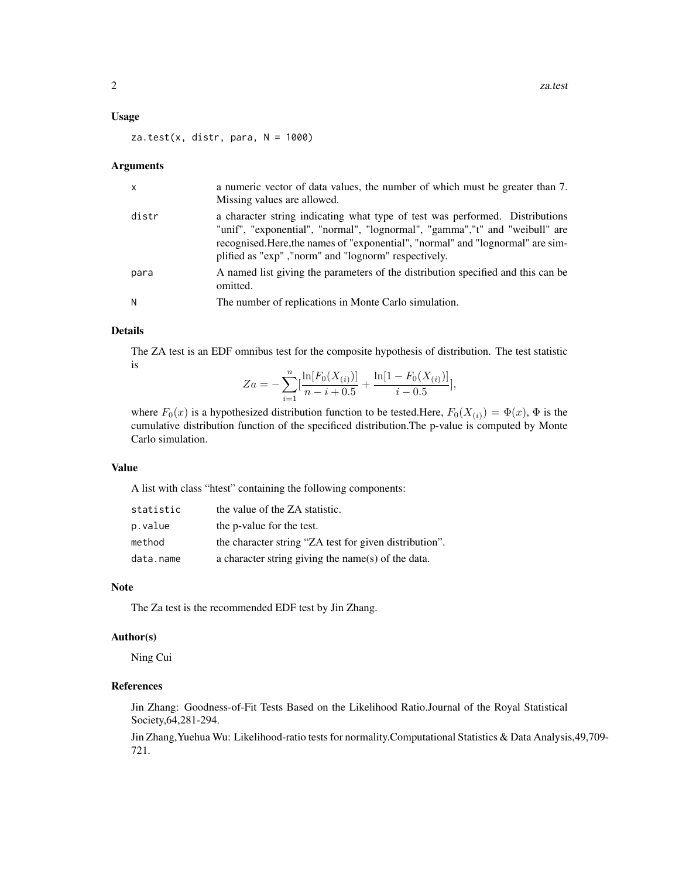#### Usage

 $za.test(x, distr, para, N = 1000)$ 

#### Arguments

| $\mathsf{x}$ | a numeric vector of data values, the number of which must be greater than 7.<br>Missing values are allowed.                                                                                                                                                                                             |
|--------------|---------------------------------------------------------------------------------------------------------------------------------------------------------------------------------------------------------------------------------------------------------------------------------------------------------|
| distr        | a character string indicating what type of test was performed. Distributions<br>"unif", "exponential", "normal", "lognormal", "gamma", "t" and "weibull" are<br>recognised. Here, the names of "exponential", "normal" and "lognormal" are sim-<br>plified as "exp", "norm" and "lognorm" respectively. |
| para         | A named list giving the parameters of the distribution specified and this can be<br>omitted.                                                                                                                                                                                                            |
| N            | The number of replications in Monte Carlo simulation.                                                                                                                                                                                                                                                   |

#### Details

The ZA test is an EDF omnibus test for the composite hypothesis of distribution. The test statistic is

$$
Za = -\sum_{i=1}^{n} \left[ \frac{\ln[F_0(X_{(i)})]}{n-i+0.5} + \frac{\ln[1 - F_0(X_{(i)})]}{i-0.5} \right],
$$

where  $F_0(x)$  is a hypothesized distribution function to be tested.Here,  $F_0(X_{(i)}) = \Phi(x)$ ,  $\Phi$  is the cumulative distribution function of the specificed distribution.The p-value is computed by Monte Carlo simulation.

#### Value

A list with class "htest" containing the following components:

| statistic | the value of the ZA statistic.                         |
|-----------|--------------------------------------------------------|
| p.value   | the p-value for the test.                              |
| method    | the character string "ZA test for given distribution". |
| data.name | a character string giving the name(s) of the data.     |

#### Note

The Za test is the recommended EDF test by Jin Zhang.

#### Author(s)

Ning Cui

# References

Jin Zhang: Goodness-of-Fit Tests Based on the Likelihood Ratio.Journal of the Royal Statistical Society,64,281-294.

Jin Zhang,Yuehua Wu: Likelihood-ratio tests for normality.Computational Statistics & Data Analysis,49,709- 721.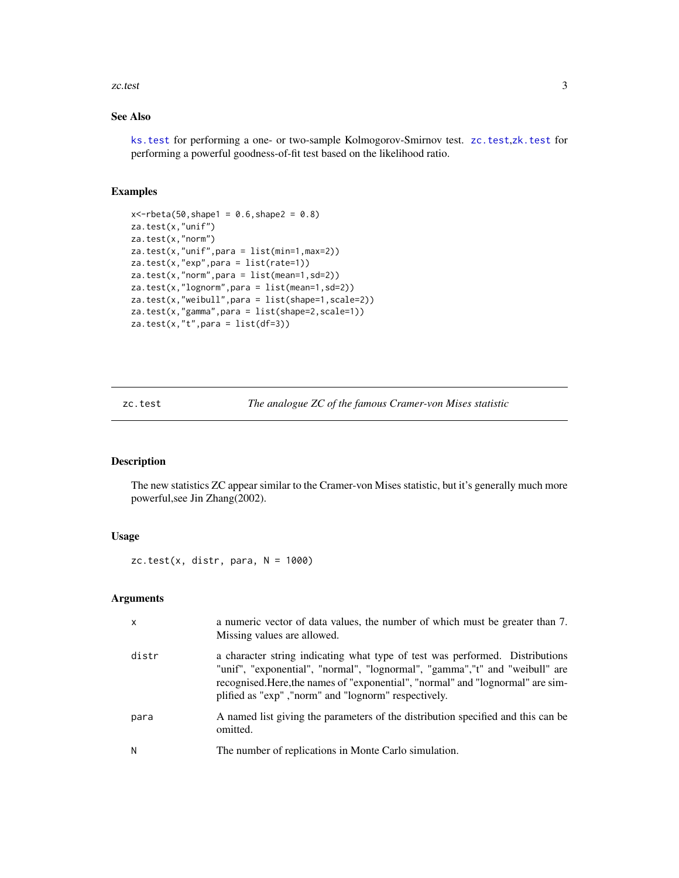#### <span id="page-2-0"></span>zc.test 3

# See Also

[ks.test](#page-0-1) for performing a one- or two-sample Kolmogorov-Smirnov test. [zc.test](#page-2-1),[zk.test](#page-4-1) for performing a powerful goodness-of-fit test based on the likelihood ratio.

# Examples

```
x < -rbeta(50, shape1 = 0.6, shape2 = 0.8)za.test(x,"unif")
za.test(x,"norm")
za.test(x,"unif",para = list(min=1,max=2))
za.test(x,"exp",para = list(rate=1))
za.test(x,"norm",para = list(mean=1,sd=2))
za.test(x,"lognorm",para = list(mean=1,sd=2))
za.test(x,"weibull",para = list(shape=1,scale=2))
za.test(x,"gamma",para = list(shape=2,scale=1))
za.test(x,"t", para = list(df=3))
```
<span id="page-2-1"></span>zc.test *The analogue ZC of the famous Cramer-von Mises statistic*

#### Description

The new statistics ZC appear similar to the Cramer-von Mises statistic, but it's generally much more powerful,see Jin Zhang(2002).

# Usage

 $zc.test(x, distr, para, N = 1000)$ 

# Arguments

| X     | a numeric vector of data values, the number of which must be greater than 7.<br>Missing values are allowed.                                                                                                                                                                                             |
|-------|---------------------------------------------------------------------------------------------------------------------------------------------------------------------------------------------------------------------------------------------------------------------------------------------------------|
| distr | a character string indicating what type of test was performed. Distributions<br>"unif", "exponential", "normal", "lognormal", "gamma", "t" and "weibull" are<br>recognised. Here, the names of "exponential", "normal" and "lognormal" are sim-<br>plified as "exp", "norm" and "lognorm" respectively. |
| para  | A named list giving the parameters of the distribution specified and this can be<br>omitted.                                                                                                                                                                                                            |
| N     | The number of replications in Monte Carlo simulation.                                                                                                                                                                                                                                                   |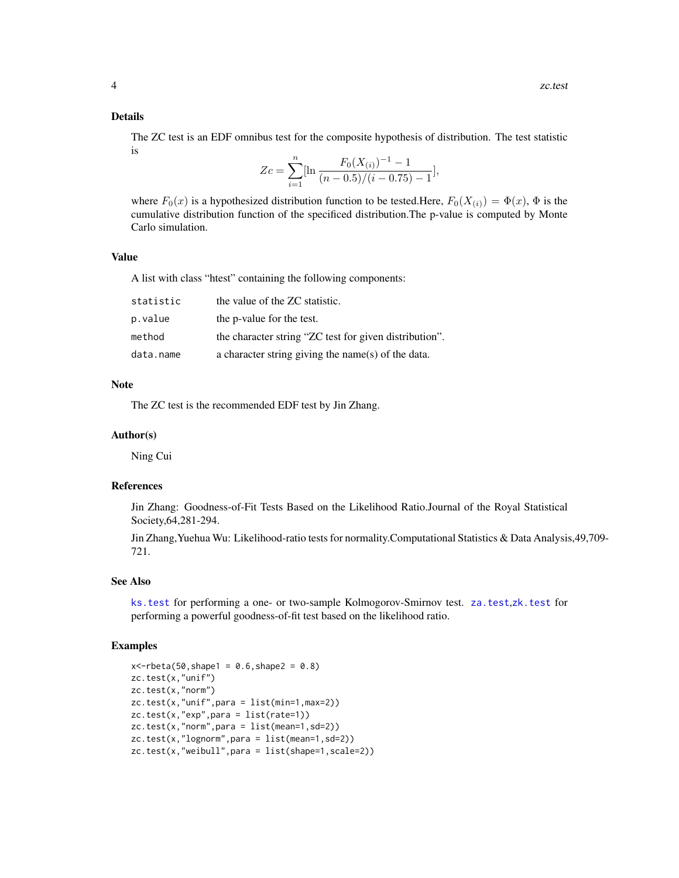#### <span id="page-3-0"></span>Details

The ZC test is an EDF omnibus test for the composite hypothesis of distribution. The test statistic is

$$
Zc = \sum_{i=1}^{n} \left[\ln \frac{F_0(X_{(i)})^{-1} - 1}{(n - 0.5)/(i - 0.75) - 1}\right],
$$

where  $F_0(x)$  is a hypothesized distribution function to be tested.Here,  $F_0(X_{(i)}) = \Phi(x)$ ,  $\Phi$  is the cumulative distribution function of the specificed distribution.The p-value is computed by Monte Carlo simulation.

#### Value

A list with class "htest" containing the following components:

| statistic | the value of the ZC statistic.                         |
|-----------|--------------------------------------------------------|
| p.value   | the p-value for the test.                              |
| method    | the character string "ZC test for given distribution". |
| data.name | a character string giving the name(s) of the data.     |

# Note

The ZC test is the recommended EDF test by Jin Zhang.

#### Author(s)

Ning Cui

#### References

Jin Zhang: Goodness-of-Fit Tests Based on the Likelihood Ratio.Journal of the Royal Statistical Society,64,281-294.

Jin Zhang,Yuehua Wu: Likelihood-ratio tests for normality.Computational Statistics & Data Analysis,49,709- 721.

#### See Also

[ks.test](#page-0-1) for performing a one- or two-sample Kolmogorov-Smirnov test. [za.test](#page-0-2),[zk.test](#page-4-1) for performing a powerful goodness-of-fit test based on the likelihood ratio.

#### Examples

```
x < -rbeta(50, shape1 = 0.6, shape2 = 0.8)zc.test(x,"unif")
zc.test(x,"norm")
zc.test(x,"unif",para = list(min=1,max=2))
zc.test(x,"exp",para = list(rate=1))
zc.test(x,"norm",para = list(mean=1,sd=2))
zc.test(x,"lognorm",para = list(mean=1,sd=2))
zc.test(x,"weibull",para = list(shape=1,scale=2))
```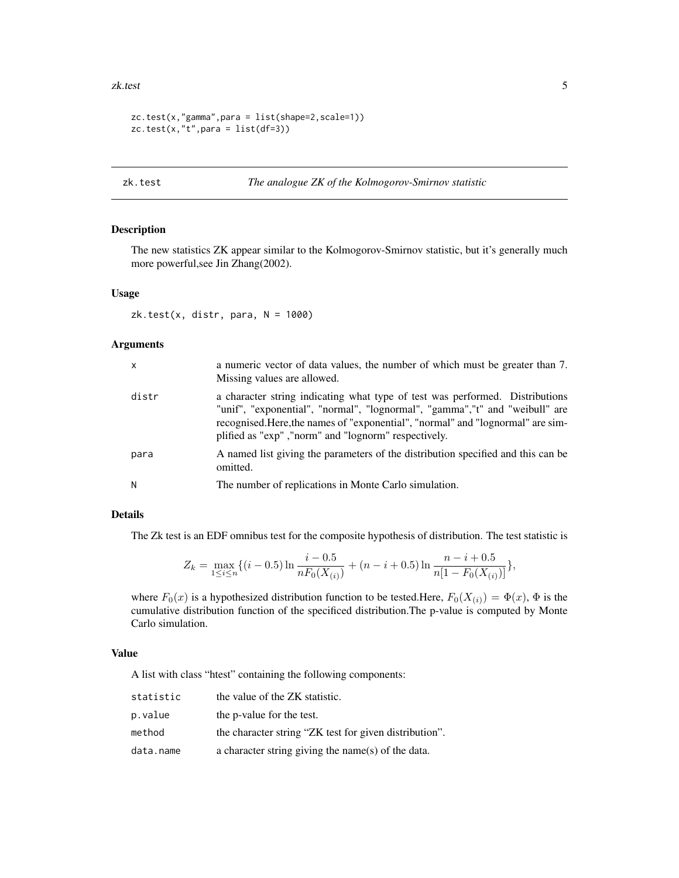#### <span id="page-4-0"></span>zk.test 5

```
zc.test(x,"gamma",para = list(shape=2,scale=1))
zc.test(x, "t", para = list(df=3))
```
# <span id="page-4-1"></span>zk.test *The analogue ZK of the Kolmogorov-Smirnov statistic*

# Description

The new statistics ZK appear similar to the Kolmogorov-Smirnov statistic, but it's generally much more powerful,see Jin Zhang(2002).

# Usage

 $zk.test(x, distr, para, N = 1000)$ 

#### Arguments

| $\mathsf{x}$ | a numeric vector of data values, the number of which must be greater than 7.<br>Missing values are allowed.                                                                                                                                                                                             |
|--------------|---------------------------------------------------------------------------------------------------------------------------------------------------------------------------------------------------------------------------------------------------------------------------------------------------------|
| distr        | a character string indicating what type of test was performed. Distributions<br>"unif", "exponential", "normal", "lognormal", "gamma", "t" and "weibull" are<br>recognised. Here, the names of "exponential", "normal" and "lognormal" are sim-<br>plified as "exp", "norm" and "lognorm" respectively. |
| para         | A named list giving the parameters of the distribution specified and this can be<br>omitted.                                                                                                                                                                                                            |
| N            | The number of replications in Monte Carlo simulation.                                                                                                                                                                                                                                                   |

#### Details

The Zk test is an EDF omnibus test for the composite hypothesis of distribution. The test statistic is

$$
Z_k = \max_{1 \le i \le n} \{ (i - 0.5) \ln \frac{i - 0.5}{n F_0(X_{(i)})} + (n - i + 0.5) \ln \frac{n - i + 0.5}{n [1 - F_0(X_{(i)})]} \},
$$

where  $F_0(x)$  is a hypothesized distribution function to be tested.Here,  $F_0(X_{(i)}) = \Phi(x)$ ,  $\Phi$  is the cumulative distribution function of the specificed distribution.The p-value is computed by Monte Carlo simulation.

#### Value

A list with class "htest" containing the following components:

| statistic | the value of the ZK statistic.                         |
|-----------|--------------------------------------------------------|
| p.value   | the p-value for the test.                              |
| method    | the character string "ZK test for given distribution". |
| data.name | a character string giving the name(s) of the data.     |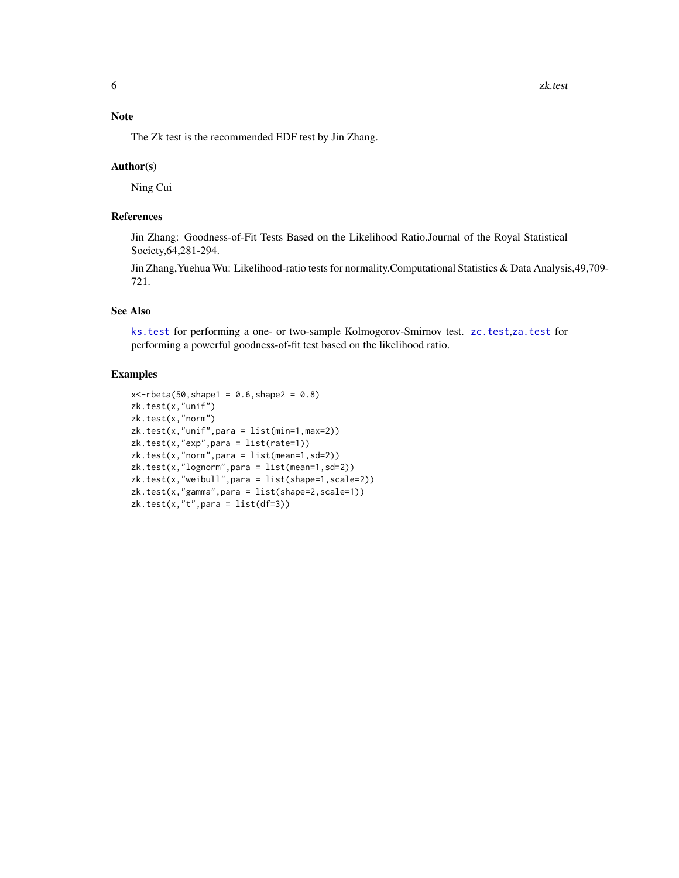# <span id="page-5-0"></span>Note

The Zk test is the recommended EDF test by Jin Zhang.

#### Author(s)

Ning Cui

# References

Jin Zhang: Goodness-of-Fit Tests Based on the Likelihood Ratio.Journal of the Royal Statistical Society,64,281-294.

Jin Zhang,Yuehua Wu: Likelihood-ratio tests for normality.Computational Statistics & Data Analysis,49,709- 721.

#### See Also

[ks.test](#page-0-1) for performing a one- or two-sample Kolmogorov-Smirnov test. [zc.test](#page-2-1),[za.test](#page-0-2) for performing a powerful goodness-of-fit test based on the likelihood ratio.

#### Examples

```
x < -rbeta(50, shape1 = 0.6, shape2 = 0.8)zk.test(x,"unif")
zk.test(x,"norm")
zk.test(x,"unif",para = list(min=1,max=2))
zk.test(x,"exp",para = list(rate=1))
zk.test(x,"norm",para = list(mean=1,sd=2))
zk.test(x,"lognorm",para = list(mean=1,sd=2))
zk.test(x,"weibull",para = list(shape=1, scale=2))zk.test(x,"gamma",para = list(shape=2,scale=1))
zk.test(x,"t",para = list(df=3))
```